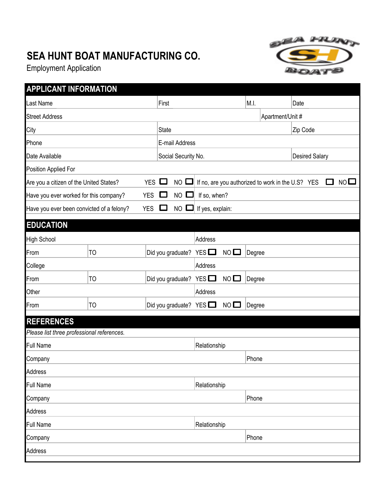## **SEA HUNT BOAT MANUFACTURING CO.**

Employment Application



| <b>APPLICANT INFORMATION</b>                         |                |            |              |                      |                              |                |        |                                                   |          |                       |              |    |
|------------------------------------------------------|----------------|------------|--------------|----------------------|------------------------------|----------------|--------|---------------------------------------------------|----------|-----------------------|--------------|----|
| Last Name                                            |                |            | First        |                      |                              |                | M.I.   |                                                   | Date     |                       |              |    |
| <b>Street Address</b>                                |                |            |              |                      |                              |                |        | Apartment/Unit #                                  |          |                       |              |    |
| City                                                 |                |            | <b>State</b> |                      |                              |                |        |                                                   | Zip Code |                       |              |    |
| Phone                                                |                |            |              | E-mail Address       |                              |                |        |                                                   |          |                       |              |    |
| Date Available                                       |                |            |              | Social Security No.  |                              |                |        |                                                   |          | <b>Desired Salary</b> |              |    |
| Position Applied For                                 |                |            |              |                      |                              |                |        |                                                   |          |                       |              |    |
| Are you a citizen of the United States?              |                | <b>YES</b> | $\sim$       | $NO$ $\square$       |                              |                |        | If no, are you authorized to work in the U.S? YES |          |                       | $\mathbf{L}$ | NO |
| Have you ever worked for this company?<br><b>YES</b> |                |            | $\Box$       | NO L<br>If so, when? |                              |                |        |                                                   |          |                       |              |    |
| Have you ever been convicted of a felony?            |                | <b>YES</b> | $\Box$       | NO                   | If yes, explain:             |                |        |                                                   |          |                       |              |    |
| <b>EDUCATION</b>                                     |                |            |              |                      |                              |                |        |                                                   |          |                       |              |    |
| <b>High School</b>                                   |                |            |              |                      | Address                      |                |        |                                                   |          |                       |              |    |
| From                                                 | T <sub>O</sub> |            |              |                      | Did you graduate? YES $\Box$ | $NO$ $\square$ | Degree |                                                   |          |                       |              |    |
| College                                              |                |            |              |                      | Address                      |                |        |                                                   |          |                       |              |    |
| From                                                 | T <sub>O</sub> |            |              | Did you graduate?    | $YES$ $\Box$                 | $NO$ $\square$ | Degree |                                                   |          |                       |              |    |
| Other                                                |                |            |              |                      | Address                      |                |        |                                                   |          |                       |              |    |
| From                                                 | T <sub>O</sub> |            |              |                      | Did you graduate? YES $\Box$ | NO I           | Degree |                                                   |          |                       |              |    |
| <b>REFERENCES</b>                                    |                |            |              |                      |                              |                |        |                                                   |          |                       |              |    |
| Please list three professional references.           |                |            |              |                      |                              |                |        |                                                   |          |                       |              |    |
| <b>Full Name</b>                                     |                |            |              |                      | Relationship                 |                |        |                                                   |          |                       |              |    |
| Company                                              |                |            |              |                      |                              |                | Phone  |                                                   |          |                       |              |    |
| Address                                              |                |            |              |                      |                              |                |        |                                                   |          |                       |              |    |
| <b>Full Name</b>                                     |                |            |              |                      | Relationship                 |                |        |                                                   |          |                       |              |    |
| Company                                              |                |            |              |                      |                              |                | Phone  |                                                   |          |                       |              |    |
| Address                                              |                |            |              |                      |                              |                |        |                                                   |          |                       |              |    |
| <b>Full Name</b>                                     |                |            |              |                      | Relationship                 |                |        |                                                   |          |                       |              |    |
| Company                                              |                |            |              |                      |                              |                | Phone  |                                                   |          |                       |              |    |
| Address                                              |                |            |              |                      |                              |                |        |                                                   |          |                       |              |    |